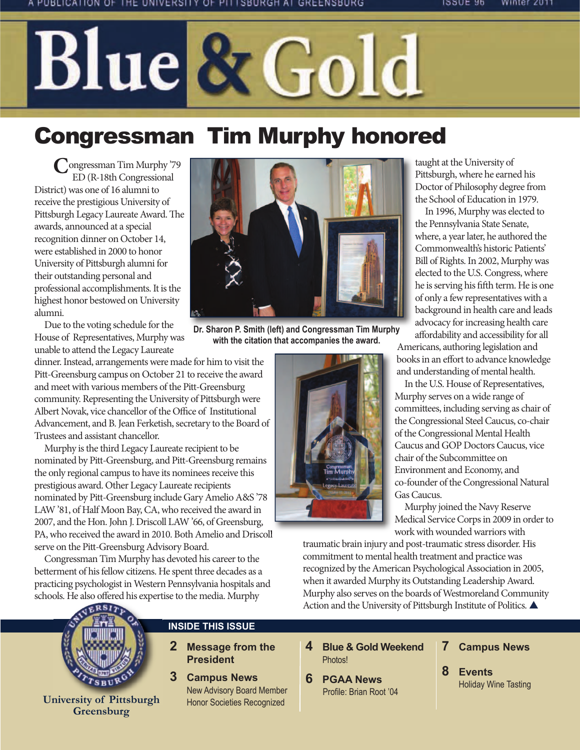# Blue & Gold

# Congressman Tim Murphy honored

Congressman Tim Murphy '79 ED (R-18th Congressional District) was one of 16 alumni to receive the prestigious University of Pittsburgh Legacy Laureate Award. The awards, announced at a special recognition dinner on October 14, were established in 2000 to honor University of Pittsburgh alumni for their outstanding personal and professional accomplishments. It is the highest honor bestowed on University alumni.

Due to the voting schedule for the House of Representatives, Murphy was unable to attend the Legacy Laureate

dinner. Instead, arrangements were made for him to visit the Pitt-Greensburg campus on October 21 to receive the award and meet with various members of the Pitt-Greensburg community. Representing the University of Pittsburgh were Albert Novak, vice chancellor of the Office of Institutional Advancement, and B. Jean Ferketish, secretary to the Board of Trustees and assistant chancellor.

Murphy is the third Legacy Laureate recipient to be nominated by Pitt-Greensburg, and Pitt-Greensburg remains the only regional campus to have its nominees receive this prestigious award. Other Legacy Laureate recipients nominated by Pitt-Greensburg include Gary Amelio A&S '78 LAW '81, of Half Moon Bay, CA, who received the award in 2007, and the Hon. John J. Driscoll LAW '66, of Greensburg, PA, who received the award in 2010. Both Amelio and Driscoll serve on the Pitt-Greensburg Advisory Board.

Congressman Tim Murphy has devoted his career to the betterment of his fellow citizens. He spent three decades as a practicing psychologist in Western Pennsylvania hospitals and schools. He also offered his expertise to the media. Murphy

**INSIDE THIS ISSUE**

**2 Message from the President 3 Campus News**

> New Advisory Board Member Honor Societies Recognized



#### **University of Pittsburgh Greensburg**

**Dr. Sharon P. Smith (left) and Congressman Tim Murphy with the citation that accompanies the award.**



taught at the University of Pittsburgh, where he earned his Doctor of Philosophy degree from the School of Education in 1979.

In 1996, Murphy was elected to the Pennsylvania State Senate, where, a year later, he authored the Commonwealth's historic Patients' Bill of Rights. In 2002, Murphy was elected to the U.S. Congress, where he is serving his fifth term. He is one of only a few representatives with a background in health care and leads advocacy for increasing health care affordability and accessibility for all Americans, authoring legislation and

books in an effort to advance knowledge and understanding of mental health.

In the U.S. House of Representatives, Murphy serves on a wide range of committees, including serving as chair of the Congressional Steel Caucus, co-chair of the Congressional Mental Health Caucus and GOP Doctors Caucus, vice chair of the Subcommittee on Environment and Economy, and co-founder of the Congressional Natural Gas Caucus.

Murphy joined the Navy Reserve Medical Service Corps in 2009 in order to work with wounded warriors with

traumatic brain injury and post-traumatic stress disorder. His commitment to mental health treatment and practice was recognized by the American Psychological Association in 2005, when it awarded Murphy its Outstanding Leadership Award. Murphy also serves on the boards of Westmoreland Community Action and the University of Pittsburgh Institute of Politics.

- **4 Blue & Gold Weekend** Photos!
- **6 PGAA News** Profile: Brian Root '04
- **7 Campus News**
- **8 Events**  Holiday Wine Tasting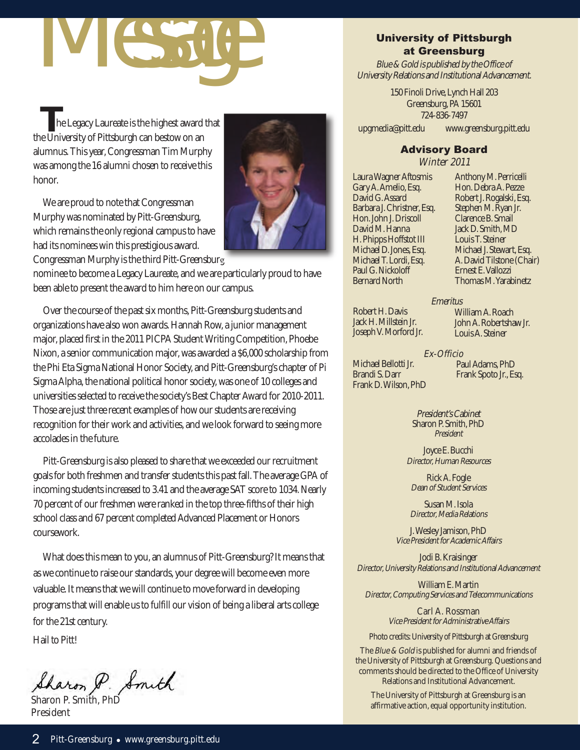# Message

**T**he Legacy Laureate is the highest award that the University of Pittsburgh can bestow on an alumnus. This year, Congressman Tim Murphy was among the 16 alumni chosen to receive this honor.

We are proud to note that Congressman Murphy was nominated by Pitt-Greensburg, which remains the only regional campus to have had its nominees win this prestigious award. Congressman Murphy is the third Pitt-Greensburg



nominee to become a Legacy Laureate, and we are particularly proud to have been able to present the award to him here on our campus.

Over the course of the past six months, Pitt-Greensburg students and organizations have also won awards. Hannah Row, a junior management major, placed first in the 2011 PICPA Student Writing Competition, Phoebe Nixon, a senior communication major, was awarded a \$6,000 scholarship from the Phi Eta Sigma National Honor Society, and Pitt-Greensburg's chapter of Pi Sigma Alpha, the national political honor society, was one of 10 colleges and universities selected to receive the society's Best Chapter Award for 2010-2011. Those are just three recent examples of how our students are receiving recognition for their work and activities, and we look forward to seeing more accolades in the future.

Pitt-Greensburg is also pleased to share that we exceeded our recruitment goals for both freshmen and transfer students this past fall. The average GPA of incoming students increased to 3.41 and the average SAT score to 1034. Nearly 70 percent of our freshmen were ranked in the top three-fifths of their high school class and 67 percent completed Advanced Placement or Honors coursework.

What does this mean to you, an alumnus of Pitt-Greensburg? It means that as we continue to raise our standards, your degree will become even more valuable. It means that we will continue to move forward in developing programs that will enable us to fulfill our vision of being a liberal arts college for the 21st century.

Hail to Pitt!

Sharon P. Smith

President

#### University of Pittsburgh at Greensburg

Blue & Gold is published by the Office of University Relations and Institutional Advancement.

> 150 Finoli Drive, Lynch Hall 203 Greensburg, PA 15601 724-836-7497

upgmedia@pitt.edu www.greensburg.pitt.edu

#### Advisory Board

Winter 2011

Laura Wagner Aftosmis Gary A. Amelio, Esq. David G. Assard Barbara J. Christner, Esq. Hon. John J. Driscoll David M. Hanna H. Phipps Hoffstot III Michael D. Jones, Esq. Michael T. Lordi, Esq. Paul G. Nickoloff Bernard North

Anthony M. Perricelli Hon. Debra A. Pezze Robert J. Rogalski, Esq. Stephen M. Ryan Jr. Clarence B. Smail Jack D. Smith, MD Louis T. Steiner Michael J. Stewart, Esq. A. David Tilstone (Chair) Ernest E. Vallozzi Thomas M. Yarabinetz

**Emeritus** 

Robert H. Davis Jack H. Millstein Jr. Joseph V. Morford Jr.

William A. Roach John A. Robertshaw Jr. Louis A. Steiner

Michael Bellotti Jr. Brandi S. Darr Frank D. Wilson, PhD

Ex-Officio Paul Adams, PhD Frank Spoto Jr., Esq.

President's Cabinet Sharon P. Smith, PhD President

Joyce E. Bucchi Director, Human Resources

Rick A. Fogle Dean of Student Services

Susan M. Isola Director, Media Relations

J. Wesley Jamison, PhD Vice President for Academic Affairs

Jodi B. Kraisinger Director, University Relations and Institutional Advancement

William E. Martin Director, Computing Services and Telecommunications

> Carl A. Rossman Vice President for Administrative Affairs

Photo credits: University of Pittsburgh at Greensburg

The *Blue & Gold* is published for alumni and friends of the University of Pittsburgh at Greensburg. Questions and comments should be directed to the Office of University Relations and Institutional Advancement.

The University of Pittsburgh at Greensburg is an affirmative action, equal opportunity institution.<br>The University of Pittsburgh at Greensburg is an affirmative action, equal opportunity institution.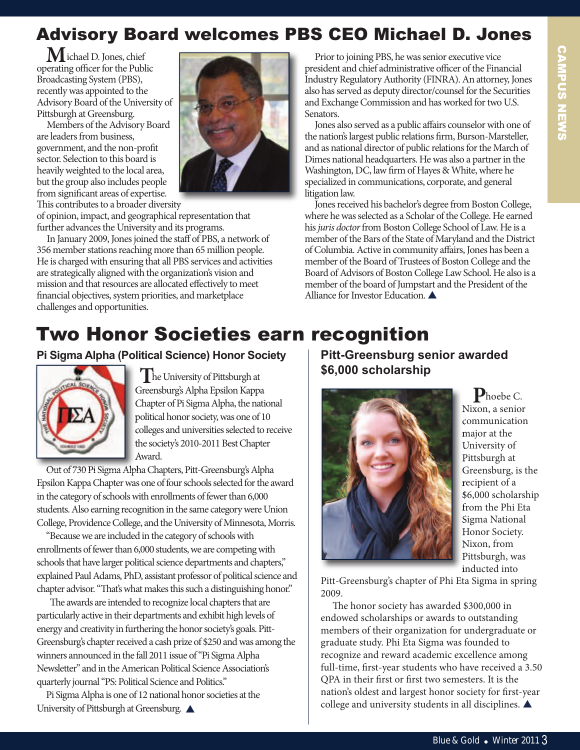# Advisory Board welcomes PBS CEO Michael D. Jones

**M**ichael D. Jones, chief operating officer for the Public Broadcasting System (PBS), recently was appointed to the Advisory Board of the University of Pittsburgh at Greensburg.

Members of the Advisory Board are leaders from business, government, and the non-profit sector. Selection to this board is heavily weighted to the local area, but the group also includes people from significant areas of expertise. This contributes to a broader diversity



of opinion, impact, and geographical representation that further advances the University and its programs.

In January 2009, Jones joined the staff of PBS, a network of 356 member stations reaching more than 65 million people. He is charged with ensuring that all PBS services and activities are strategically aligned with the organization's vision and mission and that resources are allocated effectively to meet financial objectives, system priorities, and marketplace challenges and opportunities.

Prior to joining PBS, he was senior executive vice president and chief administrative officer of the Financial Industry Regulatory Authority (FINRA). An attorney, Jones also has served as deputy director/counsel for the Securities and Exchange Commission and has worked for two U.S. Senators.

Jones also served as a public affairs counselor with one of the nation's largest public relations firm, Burson-Marsteller, and as national director of public relations for the March of Dimes national headquarters. He was also a partner in the Washington, DC, law firm of Hayes & White, where he specialized in communications, corporate, and general litigation law.

Jones received his bachelor's degree from Boston College, where he was selected as a Scholar of the College. He earned his juris doctor from Boston College School of Law. He is a member of the Bars of the State of Maryland and the District of Columbia. Active in community affairs, Jones has been a member of the Board of Trustees of Boston College and the Board of Advisors of Boston College Law School. He also is a member of the board of Jumpstart and the President of the Alliance for Investor Education.

# Two Honor Societies earn recognition

#### **Pi Sigma Alpha (Political Science) Honor Society**



**T**he University of Pittsburgh at Greensburg's Alpha Epsilon Kappa Chapter of Pi Sigma Alpha, the national political honor society, was one of 10 colleges and universities selected to receive the society's 2010-2011 Best Chapter Award.

Out of 730 Pi Sigma Alpha Chapters, Pitt-Greensburg's Alpha Epsilon Kappa Chapter was one of four schools selected for the award in the category of schools with enrollments of fewer than 6,000 students. Also earning recognition in the same category were Union College, Providence College, and the University of Minnesota, Morris.

"Because we are included in the category of schools with enrollments of fewer than 6,000 students, we are competing with schools that have larger political science departments and chapters," explained Paul Adams, PhD, assistant professor of political science and chapter advisor. "That's what makes this such a distinguishing honor."

The awards are intended to recognize local chapters that are particularly active in their departments and exhibit high levels of energy and creativity in furthering the honor society's goals. Pitt-Greensburg's chapter received a cash prize of \$250 and was among the winners announced in the fall 2011 issue of "Pi Sigma Alpha Newsletter" and in the American Political Science Association's quarterly journal "PS: Political Science and Politics."

Pi Sigma Alpha is one of 12 national honor societies at the University of Pittsburgh at Greensburg.  $\triangle$ 

**Pitt-Greensburg senior awarded \$6,000 scholarship**



**P**hoebe C. Nixon, a senior communication major at the University of Pittsburgh at Greensburg, is the recipient of a \$6,000 scholarship from the Phi Eta Sigma National Honor Society. Nixon, from Pittsburgh, was inducted into

Pitt-Greensburg's chapter of Phi Eta Sigma in spring 2009.

The honor society has awarded \$300,000 in endowed scholarships or awards to outstanding members of their organization for undergraduate or graduate study. Phi Eta Sigma was founded to recognize and reward academic excellence among full-time, first-year students who have received a 3.50 QPA in their first or first two semesters. It is the nation's oldest and largest honor society for first-year college and university students in all disciplines.  $\blacktriangle$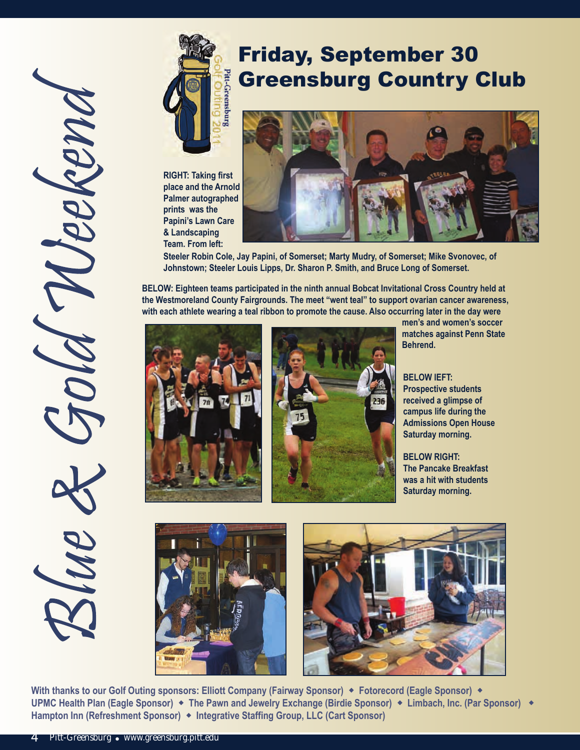

# Friday, September 30 Greensburg Country Club

**RIGHT: Taking first place and the Arnold Palmer autographed prints was the Papini's Lawn Care & Landscaping Team. From left:**



**Steeler Robin Cole, Jay Papini, of Somerset; Marty Mudry, of Somerset; Mike Svonovec, of Johnstown; Steeler Louis Lipps, Dr. Sharon P. Smith, and Bruce Long of Somerset.**

**BELOW: Eighteen teams participated in the ninth annual Bobcat Invitational Cross Country held at the Westmoreland County Fairgrounds. The meet "went teal" to support ovarian cancer awareness, with each athlete wearing a teal ribbon to promote the cause. Also occurring later in the day were**





**men's and women's soccer matches against Penn State Behrend.** 

**BELOW lEFT: Prospective students received a glimpse of campus life during the Admissions Open House Saturday morning.**

**BELOW RIGHT: The Pancake Breakfast was a hit with students Saturday morning.**





With thanks to our Golf Outing sponsors: Elliott Company (Fairway Sponsor)  $\bullet$  Fotorecord (Eagle Sponsor)  $\bullet$ **UPMC Health Plan (Eagle Sponsor)** w **The Pawn and Jewelry Exchange (Birdie Sponsor)** w **Limbach, Inc. (Par Sponsor)** w **Hampton Inn (Refreshment Sponsor)** w **Integrative Staffing Group, LLC (Cart Sponsor)**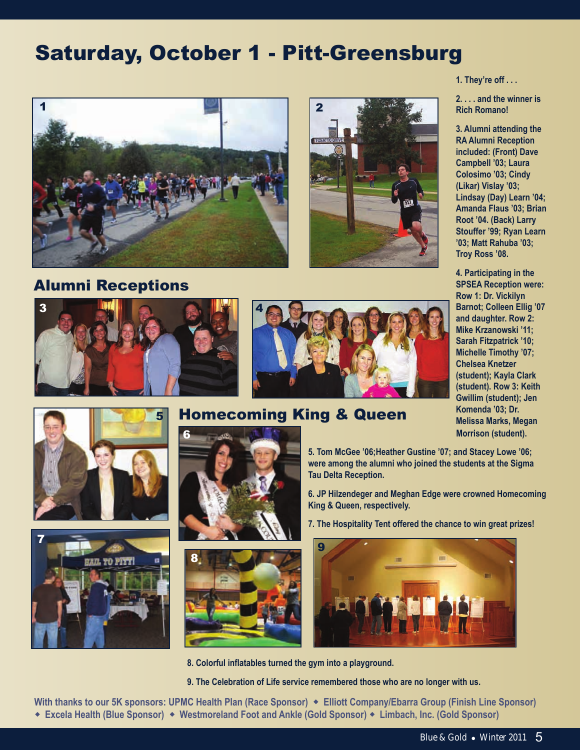# Saturday, October 1 - Pitt-Greensburg





# Alumni Receptions









# **Homecoming King & Queen Marking Marks, Megan**





**8. Colorful inflatables turned the gym into a playground.**

**9. The Celebration of Life service remembered those who are no longer with us.**

**With thanks to our 5K sponsors: UPMC Health Plan (Race Sponsor)** w **Elliott Company/Ebarra Group (Finish Line Sponsor)** w **Excela Health (Blue Sponsor)** w **Westmoreland Foot and Ankle (Gold Sponsor)** w **Limbach, Inc. (Gold Sponsor)** 

#### **1. They're off . . .**

**2. . . . and the winner is Rich Romano!**

**3. Alumni attending the RA Alumni Reception included: (Front) Dave Campbell '03; Laura Colosimo '03; Cindy (Likar) Vislay '03; Lindsay (Day) Learn '04; Amanda Flaus '03; Brian Root '04. (Back) Larry Stouffer '99; Ryan Learn '03; Matt Rahuba '03; Troy Ross '08.**

**4. Participating in the SPSEA Reception were: Row 1: Dr. Vickilyn Barnot; Colleen Ellig '07 and daughter. Row 2: Mike Krzanowski '11; Sarah Fitzpatrick '10; Michelle Timothy '07; Chelsea Knetzer (student); Kayla Clark (student). Row 3: Keith Gwillim (student); Jen Morrison (student).**

**5. Tom McGee '06;Heather Gustine '07; and Stacey Lowe '06; were among the alumni who joined the students at the Sigma Tau Delta Reception.**

**6. JP Hilzendeger and Meghan Edge were crowned Homecoming King & Queen, respectively.** 

**7. The Hospitality Tent offered the chance to win great prizes!**

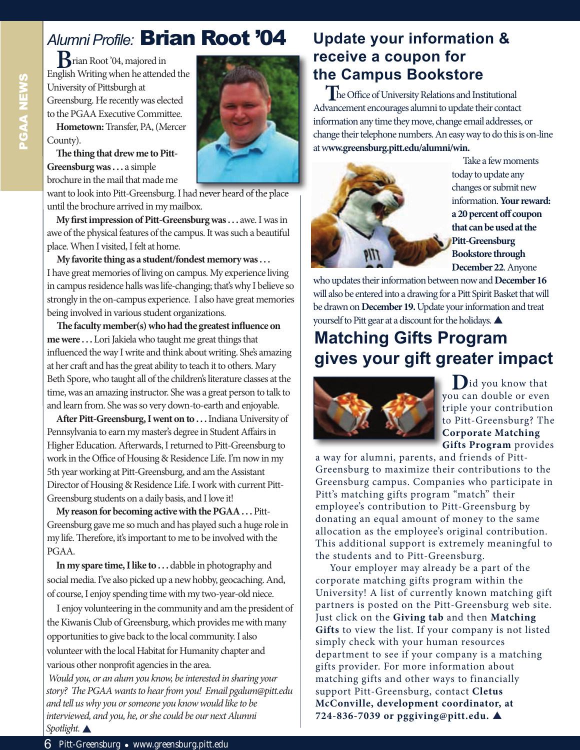# *Alumni Profile:* Brian Root '04

**B**rian Root '04, majored in English Writing when he attended the University of Pittsburgh at Greensburg. He recently was elected to the PGAA Executive Committee. **Hometown:** Transfer, PA, (Mercer County).

The thing that drew me to Pitt-**Greensburg was . . .** a simple brochure in the mail that made me

want to look into Pitt-Greensburg. I had never heard of the place until the brochure arrived in my mailbox.

**My first impression of Pitt-Greensburg was . . . awe. I was in** awe of the physical features of the campus. It was such a beautiful place. When I visited, I felt at home.

**My favorite thing as a student/fondest memory was . . .**  I have great memories of living on campus. My experience living in campus residence halls was life-changing; that's why I believe so strongly in the on-campus experience. I also have great memories being involved in various student organizations.

**e faculty member(s) who had the greatest influence on me were . . .** Lori Jakiela who taught me great things that influenced the way I write and think about writing. She's amazing at her craft and has the great ability to teach it to others. Mary Beth Spore, who taught all of the children's literature classes at the time, was an amazing instructor. She was a great person to talk to and learn from. She was so very down-to-earth and enjoyable.

After Pitt-Greensburg, I went on to . . . Indiana University of Pennsylvania to earn my master's degree in Student Affairs in Higher Education. Afterwards, I returned to Pitt-Greensburg to work in the Office of Housing & Residence Life. I'm now in my 5th year working at Pitt-Greensburg, and am the Assistant Director of Housing & Residence Life. I work with current Pitt-Greensburg students on a daily basis, and I love it!

**My reason for becoming active with the PGAA . . .** Pitt-Greensburg gave me so much and has played such a huge role in my life. Therefore, it's important to me to be involved with the PGAA.

**In my spare time, I like to . . .** dabble in photography and social media. I've also picked up a new hobby, geocaching. And, of course, I enjoy spending time with my two-year-old niece.

I enjoy volunteering in the community and am the president of the Kiwanis Club of Greensburg, which provides me with many opportunities to give back to the local community. I also volunteer with the local Habitat for Humanity chapter and various other nonprofit agencies in the area.

Would you, or an alum you know, be interested in sharing your story? The PGAA wants to hear from you! Email pgalum@pitt.edu and tell us why you or someone you know would like to be interviewed, and you, he, or she could be our next Alumni Spotlight.

# **Update your information & receive a coupon for the Campus Bookstore**

**T**he Office of University Relations and Institutional Advancement encourages alumni to update their contact information any time they move, change email addresses, or change their telephone numbers. An easy way to do this is on-line at w**ww.greensburg.pitt.edu/alumni/win.**



Take a few moments today to update any changes or submit new information. **Your reward: a 20 percent off coupon that can be used at the Pitt-Greensburg Bookstore through December 22**. Anyone

who updates their information between now and **December 16** will also be entered into a drawing for a Pitt Spirit Basket that will be drawn on **December 19.** Update your information and treat yourself to Pitt gear at a discount for the holidays.

# **Matching Gifts Program gives your gift greater impact**



**D**id you know that you can double or even triple your contribution to Pitt-Greensburg? The **Corporate Matching Gifts Program** provides

a way for alumni, parents, and friends of Pitt-Greensburg to maximize their contributions to the Greensburg campus. Companies who participate in Pitt's matching gifts program "match" their employee's contribution to Pitt-Greensburg by donating an equal amount of money to the same allocation as the employee's original contribution. This additional support is extremely meaningful to the students and to Pitt-Greensburg.

Your employer may already be a part of the corporate matching gifts program within the University! A list of currently known matching gift partners is posted on the Pitt-Greensburg web site. Just click on the **Giving tab** and then **Matching Gifts** to view the list. If your company is not listed simply check with your human resources department to see if your company is a matching gifts provider. For more information about matching gifts and other ways to financially support Pitt-Greensburg, contact **Cletus McConville, development coordinator, at 724-836-7039 or pggiving@pitt.edu.** p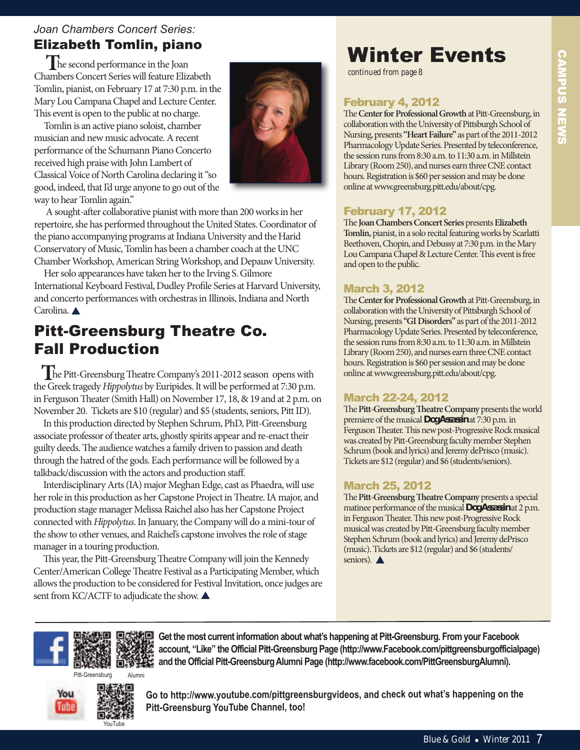# CAMPUS NEwS **CAMPUS NEWS**

# *Joan Chambers Concert Series:*

# Elizabeth Tomlin, piano

**T**he second performance in the Joan Chambers Concert Series will feature Elizabeth Tomlin, pianist, on February 17 at 7:30 p.m. in the Mary Lou Campana Chapel and Lecture Center. This event is open to the public at no charge.

Tomlin is an active piano soloist, chamber musician and new music advocate. A recent performance of the Schumann Piano Concerto received high praise with John Lambert of Classical Voice of North Carolina declaring it "so good, indeed, that I'd urge anyone to go out of the way to hear Tomlin again."



A sought-after collaborative pianist with more than 200 works in her repertoire, she has performed throughout the United States. Coordinator of the piano accompanying programs at Indiana University and the Harid Conservatory of Music, Tomlin has been a chamber coach at the UNC Chamber Workshop, American String Workshop, and Depauw University.

Her solo appearances have taken her to the Irving S. Gilmore International Keyboard Festival, Dudley Profile Series at Harvard University, and concerto performances with orchestras in Illinois, Indiana and North Carolina.

# Pitt-Greensburg Theatre Co. Fall Production

The Pitt-Greensburg Theatre Company's 2011-2012 season opens with the Greek tragedy Hippolytus by Euripides. It will be performed at 7:30 p.m. in Ferguson Theater (Smith Hall) on November 17, 18, & 19 and at 2 p.m. on November 20. Tickets are \$10 (regular) and \$5 (students, seniors, Pitt ID).

In this production directed by Stephen Schrum, PhD, Pitt-Greensburg associate professor of theater arts, ghostly spirits appear and re-enact their guilty deeds. The audience watches a family driven to passion and death through the hatred of the gods. Each performance will be followed by a talkback/discussion with the actors and production staff.

Interdisciplinary Arts (IA) major Meghan Edge, cast as Phaedra, will use her role in this production as her Capstone Project in Theatre. IA major, and production stage manager Melissa Raichel also has her Capstone Project connected with Hippolytus. In January, the Company will do a mini-tour of the show to other venues, and Raichel's capstone involves the role of stage manager in a touring production.

This year, the Pitt-Greensburg Theatre Company will join the Kennedy Center/American College Theatre Festival as a Participating Member, which allows the production to be considered for Festival Invitation, once judges are sent from KC/ACTF to adjudicate the show.

# winter Events

*continued from page 8*

# February 4, 2012

The Center for Professional Growth at Pitt-Greensburg, in collaboration with the University of Pittsburgh School of Nursing, presents **"Heart Failure"** as part of the 2011-2012 Pharmacology Update Series. Presented by teleconference, the session runs from 8:30 a.m. to 11:30 a.m. in Millstein Library (Room 250), and nurses earn three CNE contact hours. Registration is \$60 per session and may be done online at www.greensburg.pitt.edu/about/cpg.

## February 17, 2012

**The Joan Chambers Concert Series presents Elizabeth Tomlin,**pianist, in a solo recital featuring works by Scarlatti Beethoven, Chopin, and Debussy at 7:30 p.m. in the Mary Lou Campana Chapel & Lecture Center. This event is free and open to the public.

## March 3, 2012

The Center for Professional Growth at Pitt-Greensburg, in collaboration with the University of Pittsburgh School of Nursing, presents **"GI Disorders"** as part of the 2011-2012 Pharmacology Update Series. Presented by teleconference, the session runs from 8:30 a.m. to 11:30 a.m. in Millstein Library (Room 250), and nurses earn three CNE contact hours. Registration is \$60 per session and may be done online at www.greensburg.pitt.edu/about/cpg.

#### March 22-24, 2012

The Pitt-Greensburg Theatre Company presents the world premiere of the musical *Dog Assassin*at 7:30 p.m. in Ferguson Theater. This new post-Progressive Rock musical was created by Pitt-Greensburg faculty member Stephen Schrum (book and lyrics) and Jeremy dePrisco (music). Tickets are \$12 (regular) and \$6 (students/seniors).

## March 25, 2012

The Pitt-Greensburg Theatre Company presents a special matinee performance of the musical *Dog Assassin* at 2 p.m. in Ferguson Theater. This new post-Progressive Rock musical was created by Pitt-Greensburg faculty member Stephen Schrum (book and lyrics) and Jeremy dePrisco (music). Tickets are \$12 (regular) and \$6 (students/ seniors).  $\blacktriangle$ 



**Get the most current information about what's happening at Pitt-Greensburg. From your Facebook account, "Like" the Official Pitt-Greensburg Page (http://www.Facebook.com/pittgreensburgofficialpage) and the Official Pitt-Greensburg Alumni Page (http://www.facebook.com/PittGreensburgAlumni).**

Pitt-Greensburg



**Go to http://www.youtube.com/pittgreensburgvideos, and check out what's happening on the Pitt-Greensburg YouTube Channel, too!**